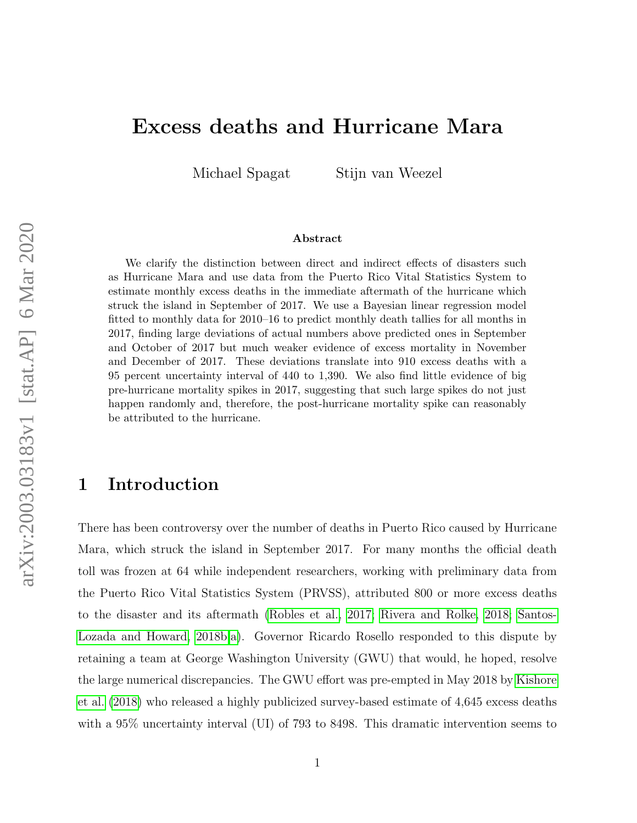# Excess deaths and Hurricane Mara

Michael Spagat Stijn van Weezel

#### Abstract

We clarify the distinction between direct and indirect effects of disasters such as Hurricane Mara and use data from the Puerto Rico Vital Statistics System to estimate monthly excess deaths in the immediate aftermath of the hurricane which struck the island in September of 2017. We use a Bayesian linear regression model fitted to monthly data for 2010–16 to predict monthly death tallies for all months in 2017, finding large deviations of actual numbers above predicted ones in September and October of 2017 but much weaker evidence of excess mortality in November and December of 2017. These deviations translate into 910 excess deaths with a 95 percent uncertainty interval of 440 to 1,390. We also find little evidence of big pre-hurricane mortality spikes in 2017, suggesting that such large spikes do not just happen randomly and, therefore, the post-hurricane mortality spike can reasonably be attributed to the hurricane.

# 1 Introduction

There has been controversy over the number of deaths in Puerto Rico caused by Hurricane Mara, which struck the island in September 2017. For many months the official death toll was frozen at 64 while independent researchers, working with preliminary data from the Puerto Rico Vital Statistics System (PRVSS), attributed 800 or more excess deaths to the disaster and its aftermath [\(Robles et al., 2017;](#page-21-0) [Rivera and Rolke, 2018;](#page-21-1) [Santos-](#page-22-0)[Lozada and Howard, 2018b](#page-22-0)[,a\)](#page-22-1). Governor Ricardo Rosello responded to this dispute by retaining a team at George Washington University (GWU) that would, he hoped, resolve the large numerical discrepancies. The GWU effort was pre-empted in May 2018 by [Kishore](#page-21-2) [et al.](#page-21-2) [\(2018\)](#page-21-2) who released a highly publicized survey-based estimate of 4,645 excess deaths with a 95% uncertainty interval (UI) of 793 to 8498. This dramatic intervention seems to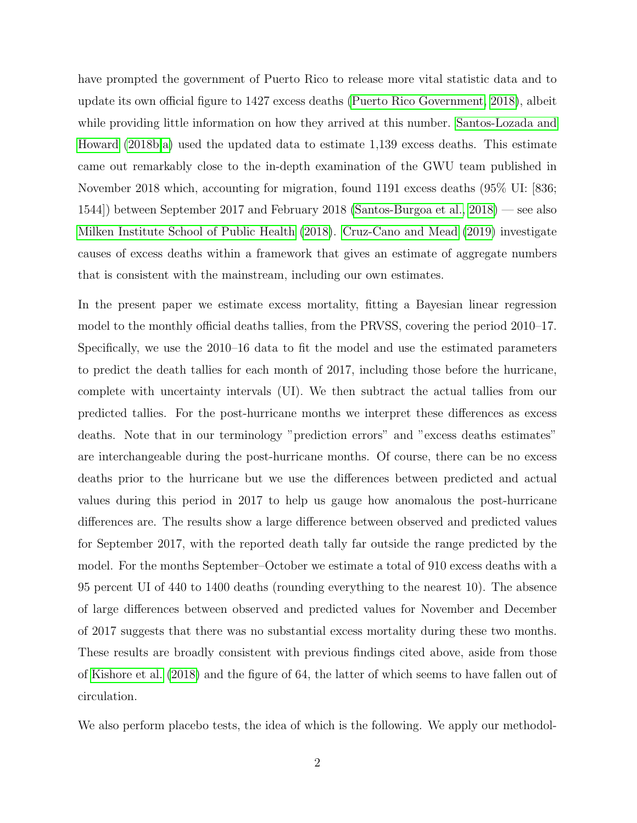have prompted the government of Puerto Rico to release more vital statistic data and to update its own official figure to 1427 excess deaths [\(Puerto Rico Government, 2018\)](#page-21-3), albeit while providing little information on how they arrived at this number. [Santos-Lozada and](#page-22-0) [Howard](#page-22-0) [\(2018b](#page-22-0)[,a\)](#page-22-1) used the updated data to estimate 1,139 excess deaths. This estimate came out remarkably close to the in-depth examination of the GWU team published in November 2018 which, accounting for migration, found 1191 excess deaths (95% UI: [836; 1544]) between September 2017 and February 2018 [\(Santos-Burgoa et al., 2018\)](#page-22-2) — see also [Milken Institute School of Public Health](#page-21-4) [\(2018\)](#page-21-4). [Cruz-Cano and Mead](#page-20-0) [\(2019\)](#page-20-0) investigate causes of excess deaths within a framework that gives an estimate of aggregate numbers that is consistent with the mainstream, including our own estimates.

In the present paper we estimate excess mortality, fitting a Bayesian linear regression model to the monthly official deaths tallies, from the PRVSS, covering the period 2010–17. Specifically, we use the 2010–16 data to fit the model and use the estimated parameters to predict the death tallies for each month of 2017, including those before the hurricane, complete with uncertainty intervals (UI). We then subtract the actual tallies from our predicted tallies. For the post-hurricane months we interpret these differences as excess deaths. Note that in our terminology "prediction errors" and "excess deaths estimates" are interchangeable during the post-hurricane months. Of course, there can be no excess deaths prior to the hurricane but we use the differences between predicted and actual values during this period in 2017 to help us gauge how anomalous the post-hurricane differences are. The results show a large difference between observed and predicted values for September 2017, with the reported death tally far outside the range predicted by the model. For the months September–October we estimate a total of 910 excess deaths with a 95 percent UI of 440 to 1400 deaths (rounding everything to the nearest 10). The absence of large differences between observed and predicted values for November and December of 2017 suggests that there was no substantial excess mortality during these two months. These results are broadly consistent with previous findings cited above, aside from those of [Kishore et al.](#page-21-2) [\(2018\)](#page-21-2) and the figure of 64, the latter of which seems to have fallen out of circulation.

We also perform placebo tests, the idea of which is the following. We apply our methodol-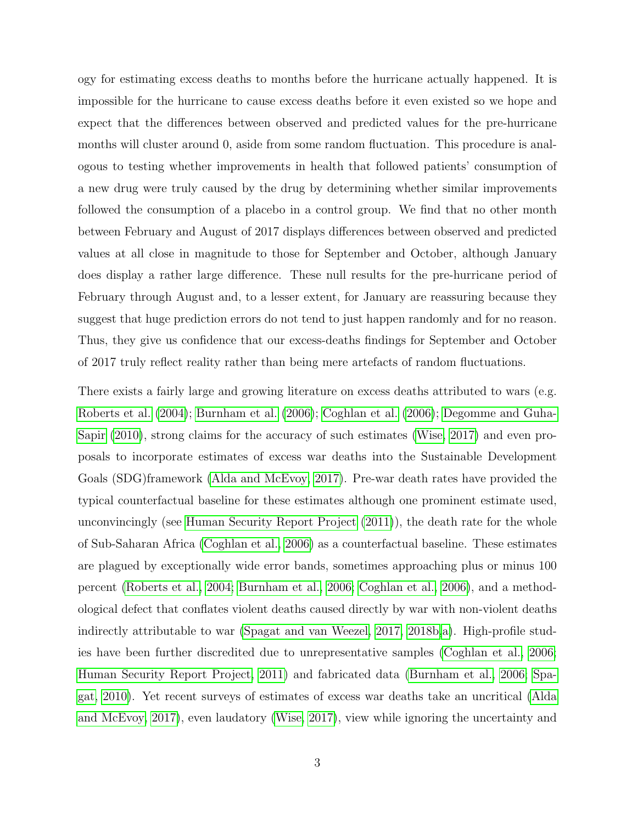ogy for estimating excess deaths to months before the hurricane actually happened. It is impossible for the hurricane to cause excess deaths before it even existed so we hope and expect that the differences between observed and predicted values for the pre-hurricane months will cluster around 0, aside from some random fluctuation. This procedure is analogous to testing whether improvements in health that followed patients' consumption of a new drug were truly caused by the drug by determining whether similar improvements followed the consumption of a placebo in a control group. We find that no other month between February and August of 2017 displays differences between observed and predicted values at all close in magnitude to those for September and October, although January does display a rather large difference. These null results for the pre-hurricane period of February through August and, to a lesser extent, for January are reassuring because they suggest that huge prediction errors do not tend to just happen randomly and for no reason. Thus, they give us confidence that our excess-deaths findings for September and October of 2017 truly reflect reality rather than being mere artefacts of random fluctuations.

There exists a fairly large and growing literature on excess deaths attributed to wars (e.g. [Roberts et al.](#page-21-5) [\(2004\)](#page-21-5); [Burnham et al.](#page-20-1) [\(2006\)](#page-20-1); [Coghlan et al.](#page-20-2) [\(2006\)](#page-20-2); [Degomme and Guha-](#page-20-3)[Sapir](#page-20-3) [\(2010\)](#page-20-3), strong claims for the accuracy of such estimates [\(Wise, 2017\)](#page-23-0) and even proposals to incorporate estimates of excess war deaths into the Sustainable Development Goals (SDG)framework [\(Alda and McEvoy, 2017\)](#page-20-4). Pre-war death rates have provided the typical counterfactual baseline for these estimates although one prominent estimate used, unconvincingly (see [Human Security Report Project](#page-20-5) [\(2011\)](#page-20-5)), the death rate for the whole of Sub-Saharan Africa [\(Coghlan et al., 2006\)](#page-20-2) as a counterfactual baseline. These estimates are plagued by exceptionally wide error bands, sometimes approaching plus or minus 100 percent [\(Roberts et al., 2004;](#page-21-5) [Burnham et al., 2006;](#page-20-1) [Coghlan et al., 2006\)](#page-20-2), and a methodological defect that conflates violent deaths caused directly by war with non-violent deaths indirectly attributable to war [\(Spagat and van Weezel, 2017,](#page-22-3) [2018b](#page-22-4)[,a\)](#page-22-5). High-profile studies have been further discredited due to unrepresentative samples [\(Coghlan et al., 2006;](#page-20-2) [Human Security Report Project, 2011\)](#page-20-5) and fabricated data [\(Burnham et al., 2006;](#page-20-1) [Spa](#page-22-6)[gat, 2010\)](#page-22-6). Yet recent surveys of estimates of excess war deaths take an uncritical [\(Alda](#page-20-4) [and McEvoy, 2017\)](#page-20-4), even laudatory [\(Wise, 2017\)](#page-23-0), view while ignoring the uncertainty and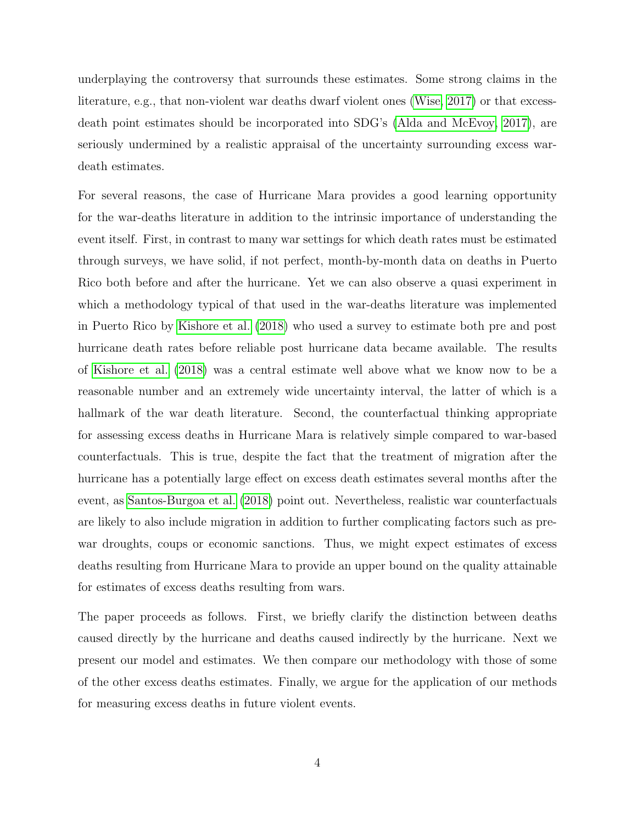underplaying the controversy that surrounds these estimates. Some strong claims in the literature, e.g., that non-violent war deaths dwarf violent ones [\(Wise, 2017\)](#page-23-0) or that excessdeath point estimates should be incorporated into SDG's [\(Alda and McEvoy, 2017\)](#page-20-4), are seriously undermined by a realistic appraisal of the uncertainty surrounding excess wardeath estimates.

For several reasons, the case of Hurricane Mara provides a good learning opportunity for the war-deaths literature in addition to the intrinsic importance of understanding the event itself. First, in contrast to many war settings for which death rates must be estimated through surveys, we have solid, if not perfect, month-by-month data on deaths in Puerto Rico both before and after the hurricane. Yet we can also observe a quasi experiment in which a methodology typical of that used in the war-deaths literature was implemented in Puerto Rico by [Kishore et al.](#page-21-2) [\(2018\)](#page-21-2) who used a survey to estimate both pre and post hurricane death rates before reliable post hurricane data became available. The results of [Kishore et al.](#page-21-2) [\(2018\)](#page-21-2) was a central estimate well above what we know now to be a reasonable number and an extremely wide uncertainty interval, the latter of which is a hallmark of the war death literature. Second, the counterfactual thinking appropriate for assessing excess deaths in Hurricane Mara is relatively simple compared to war-based counterfactuals. This is true, despite the fact that the treatment of migration after the hurricane has a potentially large effect on excess death estimates several months after the event, as [Santos-Burgoa et al.](#page-22-2) [\(2018\)](#page-22-2) point out. Nevertheless, realistic war counterfactuals are likely to also include migration in addition to further complicating factors such as prewar droughts, coups or economic sanctions. Thus, we might expect estimates of excess deaths resulting from Hurricane Mara to provide an upper bound on the quality attainable for estimates of excess deaths resulting from wars.

The paper proceeds as follows. First, we briefly clarify the distinction between deaths caused directly by the hurricane and deaths caused indirectly by the hurricane. Next we present our model and estimates. We then compare our methodology with those of some of the other excess deaths estimates. Finally, we argue for the application of our methods for measuring excess deaths in future violent events.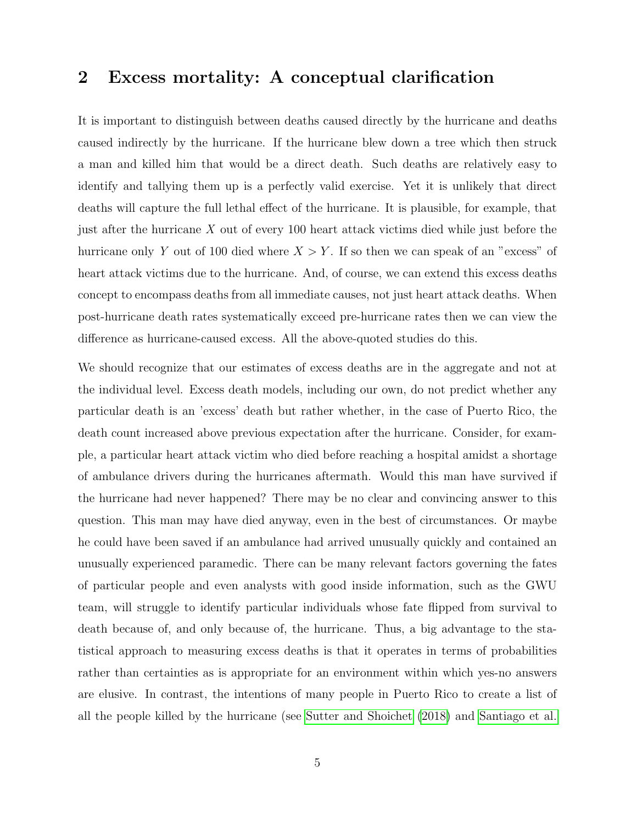### 2 Excess mortality: A conceptual clarification

It is important to distinguish between deaths caused directly by the hurricane and deaths caused indirectly by the hurricane. If the hurricane blew down a tree which then struck a man and killed him that would be a direct death. Such deaths are relatively easy to identify and tallying them up is a perfectly valid exercise. Yet it is unlikely that direct deaths will capture the full lethal effect of the hurricane. It is plausible, for example, that just after the hurricane  $X$  out of every 100 heart attack victims died while just before the hurricane only Y out of 100 died where  $X > Y$ . If so then we can speak of an "excess" of heart attack victims due to the hurricane. And, of course, we can extend this excess deaths concept to encompass deaths from all immediate causes, not just heart attack deaths. When post-hurricane death rates systematically exceed pre-hurricane rates then we can view the difference as hurricane-caused excess. All the above-quoted studies do this.

We should recognize that our estimates of excess deaths are in the aggregate and not at the individual level. Excess death models, including our own, do not predict whether any particular death is an 'excess' death but rather whether, in the case of Puerto Rico, the death count increased above previous expectation after the hurricane. Consider, for example, a particular heart attack victim who died before reaching a hospital amidst a shortage of ambulance drivers during the hurricanes aftermath. Would this man have survived if the hurricane had never happened? There may be no clear and convincing answer to this question. This man may have died anyway, even in the best of circumstances. Or maybe he could have been saved if an ambulance had arrived unusually quickly and contained an unusually experienced paramedic. There can be many relevant factors governing the fates of particular people and even analysts with good inside information, such as the GWU team, will struggle to identify particular individuals whose fate flipped from survival to death because of, and only because of, the hurricane. Thus, a big advantage to the statistical approach to measuring excess deaths is that it operates in terms of probabilities rather than certainties as is appropriate for an environment within which yes-no answers are elusive. In contrast, the intentions of many people in Puerto Rico to create a list of all the people killed by the hurricane (see [Sutter and Shoichet](#page-22-7) [\(2018\)](#page-22-7) and [Santiago et al.](#page-22-8)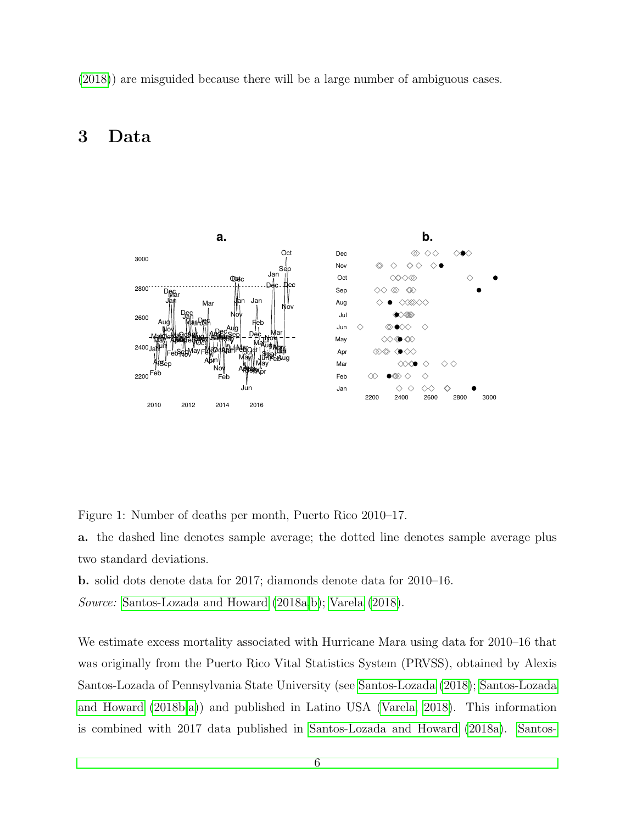[\(2018\)](#page-22-8)) are misguided because there will be a large number of ambiguous cases.

# 3 Data



<span id="page-5-0"></span>Figure 1: Number of deaths per month, Puerto Rico 2010–17.

a. the dashed line denotes sample average; the dotted line denotes sample average plus two standard deviations.

b. solid dots denote data for 2017; diamonds denote data for 2010–16.

Source: [Santos-Lozada and Howard](#page-22-1) [\(2018a,](#page-22-1)[b\)](#page-22-0); [Varela](#page-22-9) [\(2018\)](#page-22-9).

We estimate excess mortality associated with Hurricane Mara using data for 2010–16 that was originally from the Puerto Rico Vital Statistics System (PRVSS), obtained by Alexis Santos-Lozada of Pennsylvania State University (see [Santos-Lozada](#page-22-10) [\(2018\)](#page-22-10); [Santos-Lozada](#page-22-0) [and Howard](#page-22-0) [\(2018b,](#page-22-0)[a\)](#page-22-1)) and published in Latino USA [\(Varela, 2018\)](#page-22-9). This information is combined with 2017 data published in [Santos-Lozada and Howard](#page-22-1) [\(2018a\)](#page-22-1). [Santos-](#page-22-0)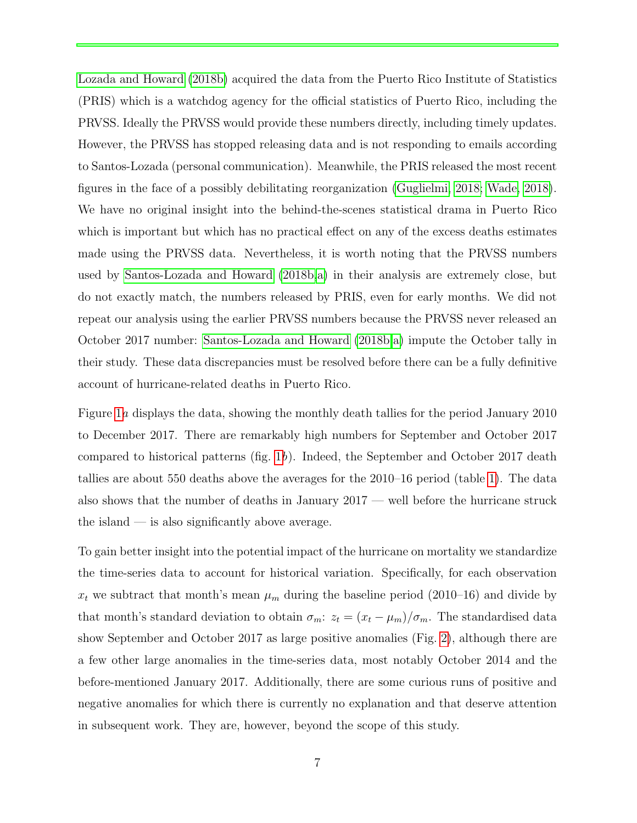[Lozada and Howard](#page-22-0) [\(2018b\)](#page-22-0) acquired the data from the Puerto Rico Institute of Statistics (PRIS) which is a watchdog agency for the official statistics of Puerto Rico, including the PRVSS. Ideally the PRVSS would provide these numbers directly, including timely updates. However, the PRVSS has stopped releasing data and is not responding to emails according to Santos-Lozada (personal communication). Meanwhile, the PRIS released the most recent figures in the face of a possibly debilitating reorganization [\(Guglielmi, 2018;](#page-20-6) [Wade, 2018\)](#page-22-11). We have no original insight into the behind-the-scenes statistical drama in Puerto Rico which is important but which has no practical effect on any of the excess deaths estimates made using the PRVSS data. Nevertheless, it is worth noting that the PRVSS numbers used by [Santos-Lozada and Howard](#page-22-0) [\(2018b,](#page-22-0)[a\)](#page-22-1) in their analysis are extremely close, but do not exactly match, the numbers released by PRIS, even for early months. We did not repeat our analysis using the earlier PRVSS numbers because the PRVSS never released an October 2017 number: [Santos-Lozada and Howard](#page-22-0) [\(2018b,](#page-22-0)[a\)](#page-22-1) impute the October tally in their study. These data discrepancies must be resolved before there can be a fully definitive account of hurricane-related deaths in Puerto Rico.

Figure [1](#page-5-0)a displays the data, showing the monthly death tallies for the period January 2010 to December 2017. There are remarkably high numbers for September and October 2017 compared to historical patterns (fig. [1](#page-5-0)b). Indeed, the September and October 2017 death tallies are about 550 deaths above the averages for the 2010–16 period (table [1\)](#page-8-0). The data also shows that the number of deaths in January 2017 — well before the hurricane struck the island — is also significantly above average.

To gain better insight into the potential impact of the hurricane on mortality we standardize the time-series data to account for historical variation. Specifically, for each observation  $x_t$  we subtract that month's mean  $\mu_m$  during the baseline period (2010–16) and divide by that month's standard deviation to obtain  $\sigma_m$ :  $z_t = (x_t - \mu_m)/\sigma_m$ . The standardised data show September and October 2017 as large positive anomalies (Fig. [2\)](#page-7-0), although there are a few other large anomalies in the time-series data, most notably October 2014 and the before-mentioned January 2017. Additionally, there are some curious runs of positive and negative anomalies for which there is currently no explanation and that deserve attention in subsequent work. They are, however, beyond the scope of this study.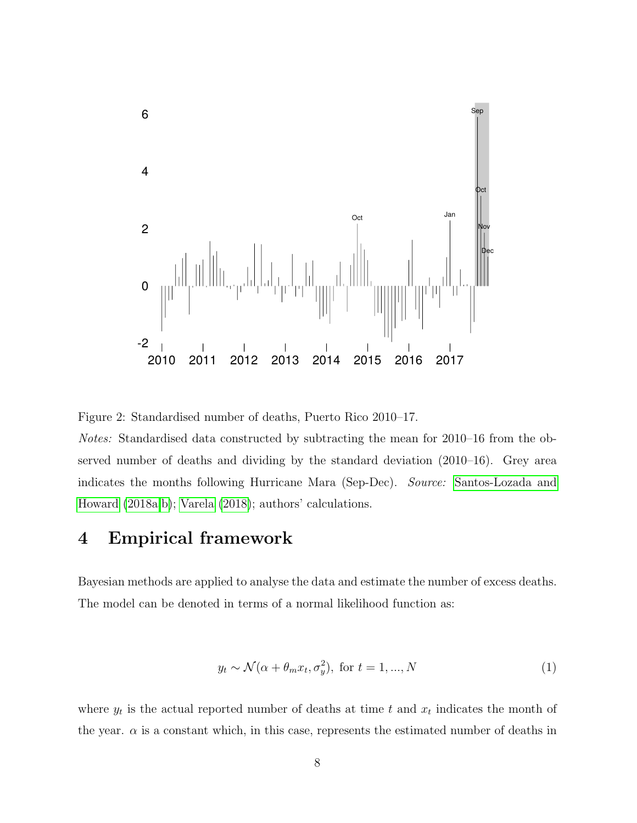

<span id="page-7-0"></span>Figure 2: Standardised number of deaths, Puerto Rico 2010–17.

Notes: Standardised data constructed by subtracting the mean for 2010–16 from the observed number of deaths and dividing by the standard deviation (2010–16). Grey area indicates the months following Hurricane Mara (Sep-Dec). Source: [Santos-Lozada and](#page-22-1) [Howard](#page-22-1) [\(2018a,](#page-22-1)[b\)](#page-22-0); [Varela](#page-22-9) [\(2018\)](#page-22-9); authors' calculations.

#### 4 Empirical framework

Bayesian methods are applied to analyse the data and estimate the number of excess deaths. The model can be denoted in terms of a normal likelihood function as:

$$
y_t \sim \mathcal{N}(\alpha + \theta_m x_t, \sigma_y^2), \text{ for } t = 1, ..., N
$$
 (1)

where  $y_t$  is the actual reported number of deaths at time t and  $x_t$  indicates the month of the year.  $\alpha$  is a constant which, in this case, represents the estimated number of deaths in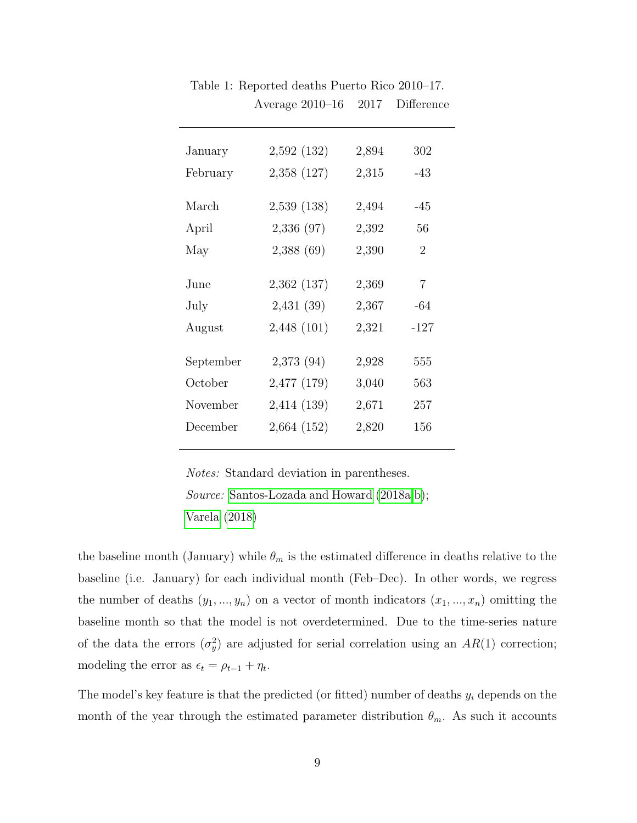| January   | 2,592 (132) | 2,894 | 302            |  |
|-----------|-------------|-------|----------------|--|
| February  | 2,358 (127) | 2,315 | $-43$          |  |
|           |             |       |                |  |
| March     | 2,539(138)  | 2,494 | $-45$          |  |
| April     | 2,336 (97)  | 2,392 | 56             |  |
| May       | 2,388(69)   | 2,390 | $\overline{2}$ |  |
|           |             |       |                |  |
| June      | 2,362 (137) | 2,369 | $\overline{7}$ |  |
| July      | 2,431(39)   | 2,367 | $-64$          |  |
| August    | 2,448 (101) | 2,321 | $-127$         |  |
|           |             |       |                |  |
| September | 2,373(94)   | 2,928 | 555            |  |
| October   | 2,477 (179) | 3,040 | 563            |  |
| November  | 2,414 (139) | 2,671 | 257            |  |
| December  | 2,664 (152) | 2,820 | 156            |  |
|           |             |       |                |  |

<span id="page-8-0"></span>Table 1: Reported deaths Puerto Rico 2010–17. Average 2010–16 2017 Difference

Notes: Standard deviation in parentheses. Source: [Santos-Lozada and Howard](#page-22-1) [\(2018a,](#page-22-1)[b\)](#page-22-0); [Varela](#page-22-9) [\(2018\)](#page-22-9)

the baseline month (January) while  $\theta_m$  is the estimated difference in deaths relative to the baseline (i.e. January) for each individual month (Feb–Dec). In other words, we regress the number of deaths  $(y_1, ..., y_n)$  on a vector of month indicators  $(x_1, ..., x_n)$  omitting the baseline month so that the model is not overdetermined. Due to the time-series nature of the data the errors  $(\sigma_y^2)$  are adjusted for serial correlation using an  $AR(1)$  correction; modeling the error as  $\epsilon_t = \rho_{t-1} + \eta_t$ .

The model's key feature is that the predicted (or fitted) number of deaths  $y_i$  depends on the month of the year through the estimated parameter distribution  $\theta_m$ . As such it accounts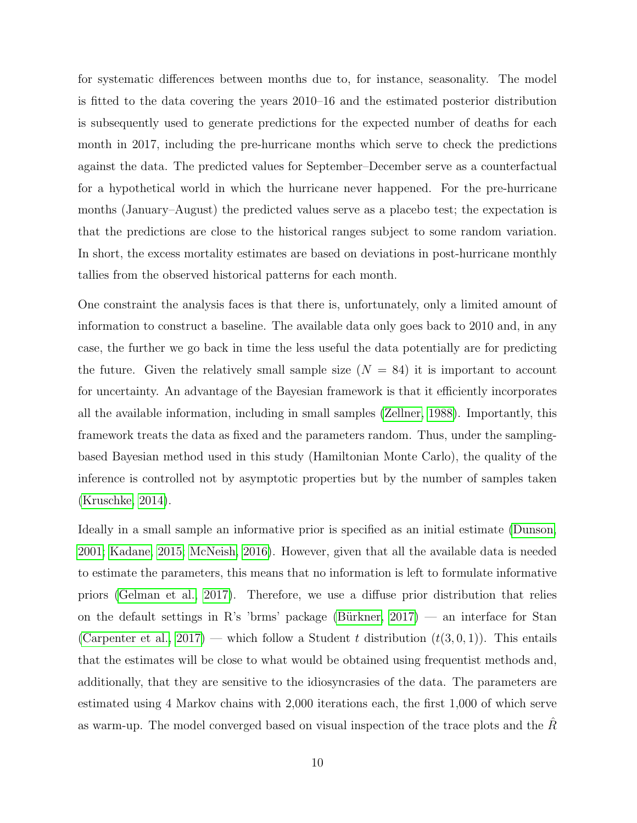for systematic differences between months due to, for instance, seasonality. The model is fitted to the data covering the years 2010–16 and the estimated posterior distribution is subsequently used to generate predictions for the expected number of deaths for each month in 2017, including the pre-hurricane months which serve to check the predictions against the data. The predicted values for September–December serve as a counterfactual for a hypothetical world in which the hurricane never happened. For the pre-hurricane months (January–August) the predicted values serve as a placebo test; the expectation is that the predictions are close to the historical ranges subject to some random variation. In short, the excess mortality estimates are based on deviations in post-hurricane monthly tallies from the observed historical patterns for each month.

One constraint the analysis faces is that there is, unfortunately, only a limited amount of information to construct a baseline. The available data only goes back to 2010 and, in any case, the further we go back in time the less useful the data potentially are for predicting the future. Given the relatively small sample size  $(N = 84)$  it is important to account for uncertainty. An advantage of the Bayesian framework is that it efficiently incorporates all the available information, including in small samples [\(Zellner, 1988\)](#page-23-1). Importantly, this framework treats the data as fixed and the parameters random. Thus, under the samplingbased Bayesian method used in this study (Hamiltonian Monte Carlo), the quality of the inference is controlled not by asymptotic properties but by the number of samples taken [\(Kruschke, 2014\)](#page-21-6).

Ideally in a small sample an informative prior is specified as an initial estimate [\(Dunson,](#page-20-7) [2001;](#page-20-7) [Kadane, 2015;](#page-21-7) [McNeish, 2016\)](#page-21-8). However, given that all the available data is needed to estimate the parameters, this means that no information is left to formulate informative priors [\(Gelman et al., 2017\)](#page-20-8). Therefore, we use a diffuse prior distribution that relies on the default settings in R's 'brms' package (Bürkner,  $2017$ ) — an interface for Stan [\(Carpenter et al., 2017\)](#page-20-10) — which follow a Student t distribution  $(t(3,0,1))$ . This entails that the estimates will be close to what would be obtained using frequentist methods and, additionally, that they are sensitive to the idiosyncrasies of the data. The parameters are estimated using 4 Markov chains with 2,000 iterations each, the first 1,000 of which serve as warm-up. The model converged based on visual inspection of the trace plots and the  $\tilde{R}$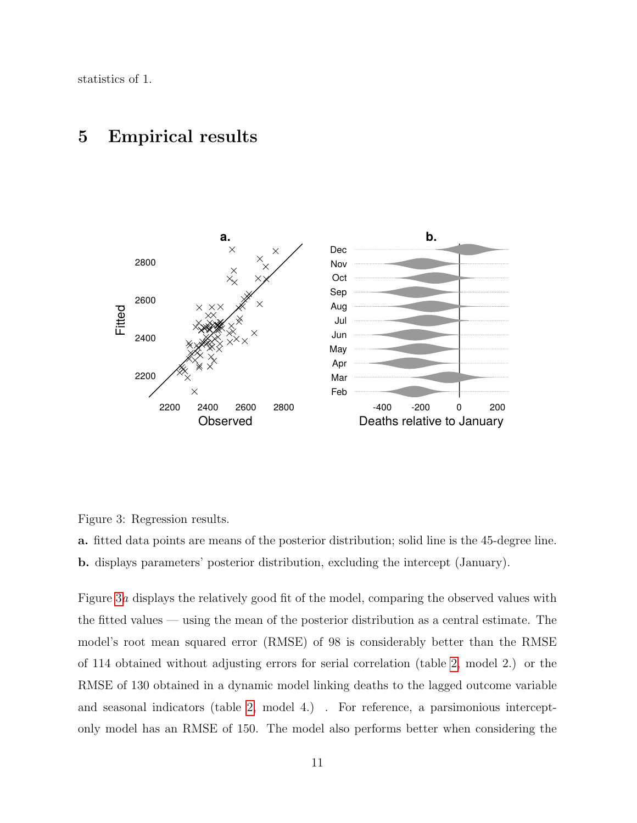statistics of 1.

### 5 Empirical results



<span id="page-10-0"></span>Figure 3: Regression results.

a. fitted data points are means of the posterior distribution; solid line is the 45-degree line. b. displays parameters' posterior distribution, excluding the intercept (January).

Figure [3](#page-10-0)a displays the relatively good fit of the model, comparing the observed values with the fitted values — using the mean of the posterior distribution as a central estimate. The model's root mean squared error (RMSE) of 98 is considerably better than the RMSE of 114 obtained without adjusting errors for serial correlation (table [2,](#page-12-0) model 2.) or the RMSE of 130 obtained in a dynamic model linking deaths to the lagged outcome variable and seasonal indicators (table [2,](#page-12-0) model 4.) . For reference, a parsimonious interceptonly model has an RMSE of 150. The model also performs better when considering the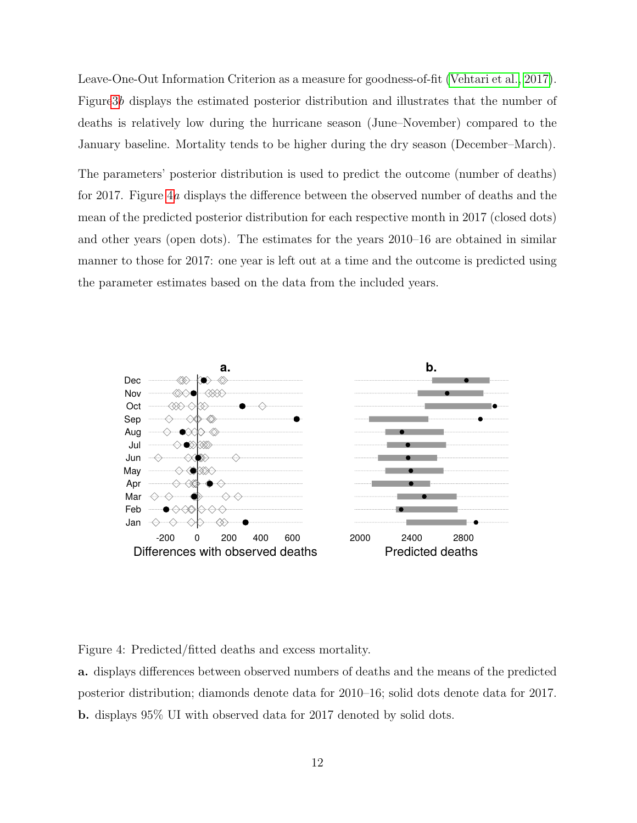Leave-One-Out Information Criterion as a measure for goodness-of-fit [\(Vehtari et al., 2017\)](#page-22-12). Figur[e3](#page-10-0)b displays the estimated posterior distribution and illustrates that the number of deaths is relatively low during the hurricane season (June–November) compared to the January baseline. Mortality tends to be higher during the dry season (December–March).

The parameters' posterior distribution is used to predict the outcome (number of deaths) for 2017. Figure [4](#page-11-0)a displays the difference between the observed number of deaths and the mean of the predicted posterior distribution for each respective month in 2017 (closed dots) and other years (open dots). The estimates for the years 2010–16 are obtained in similar manner to those for 2017: one year is left out at a time and the outcome is predicted using the parameter estimates based on the data from the included years.



<span id="page-11-0"></span>Figure 4: Predicted/fitted deaths and excess mortality.

a. displays differences between observed numbers of deaths and the means of the predicted posterior distribution; diamonds denote data for 2010–16; solid dots denote data for 2017. b. displays 95% UI with observed data for 2017 denoted by solid dots.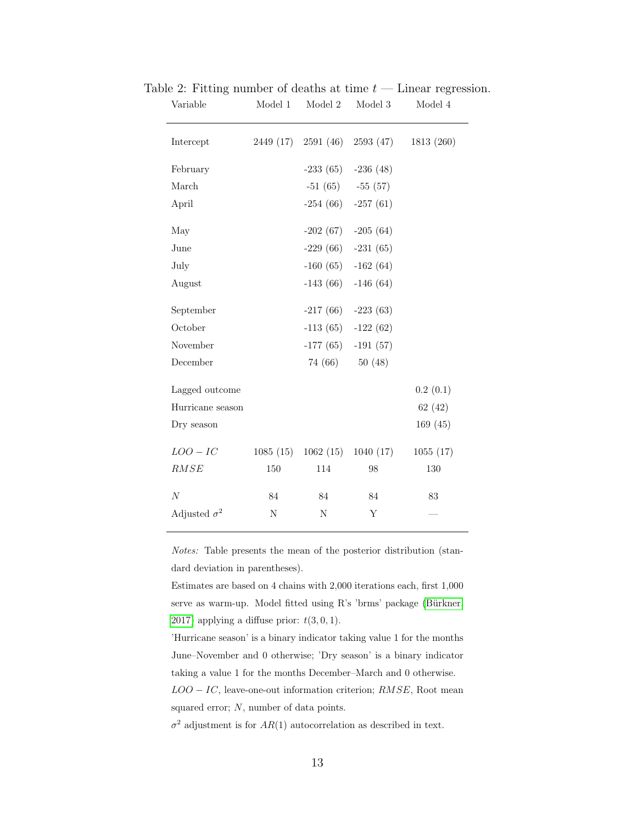<span id="page-12-0"></span>

| Variable            | Model 1     | $\,$ Model $2$ | Model 3               | Model 4    |
|---------------------|-------------|----------------|-----------------------|------------|
| Intercept           | 2449 (17)   | 2591 (46)      | 2593 (47)             | 1813 (260) |
| February            |             |                | $-233(65)$ $-236(48)$ |            |
| March               |             |                | $-51(65) -55(57)$     |            |
| April               |             | $-254(66)$     | $-257(61)$            |            |
| May                 |             | $-202(67)$     | $-205(64)$            |            |
| June                |             |                | $-229(66)$ $-231(65)$ |            |
| July                |             | $-160(65)$     | $-162(64)$            |            |
| August              |             | $-143(66)$     | $-146(64)$            |            |
| September           |             |                | $-217(66)$ $-223(63)$ |            |
| October             |             |                | $-113(65) -122(62)$   |            |
| November            |             | $-177(65)$     | $-191(57)$            |            |
| December            |             | 74 (66)        | 50(48)                |            |
| Lagged outcome      |             |                |                       | 0.2(0.1)   |
| Hurricane season    |             |                |                       | 62(42)     |
| Dry season          |             |                |                       | 169(45)    |
| $LOO-IC$            | 1085(15)    | 1062(15)       | 1040(17)              | 1055(17)   |
| RMSE                | 150         | 114            | 98                    | 130        |
| $\cal N$            | $84\,$      | $84\,$         | $84\,$                | $83\,$     |
| Adjusted $\sigma^2$ | $\mathbf N$ | $\mathbf N$    | Υ                     |            |

Table 2: Fitting number of deaths at time  $t -$  Linear regression.

Notes: Table presents the mean of the posterior distribution (standard deviation in parentheses).

Estimates are based on 4 chains with 2,000 iterations each, first 1,000 serve as warm-up. Model fitted using R's 'brms' package (Bürkner, [2017\)](#page-20-9) applying a diffuse prior:  $t(3,0,1)$ .

'Hurricane season' is a binary indicator taking value 1 for the months June–November and 0 otherwise; 'Dry season' is a binary indicator taking a value 1 for the months December–March and 0 otherwise.

 $LOO - IC$ , leave-one-out information criterion;  $RMSE$ , Root mean squared error; N, number of data points.

 $\sigma^2$  adjustment is for  $AR(1)$  autocorrelation as described in text.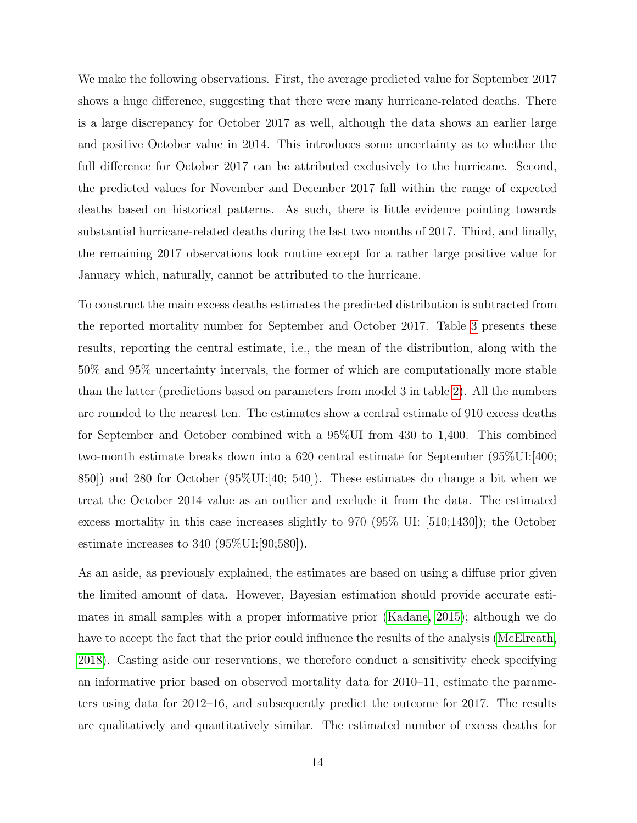We make the following observations. First, the average predicted value for September 2017 shows a huge difference, suggesting that there were many hurricane-related deaths. There is a large discrepancy for October 2017 as well, although the data shows an earlier large and positive October value in 2014. This introduces some uncertainty as to whether the full difference for October 2017 can be attributed exclusively to the hurricane. Second, the predicted values for November and December 2017 fall within the range of expected deaths based on historical patterns. As such, there is little evidence pointing towards substantial hurricane-related deaths during the last two months of 2017. Third, and finally, the remaining 2017 observations look routine except for a rather large positive value for January which, naturally, cannot be attributed to the hurricane.

To construct the main excess deaths estimates the predicted distribution is subtracted from the reported mortality number for September and October 2017. Table [3](#page-14-0) presents these results, reporting the central estimate, i.e., the mean of the distribution, along with the 50% and 95% uncertainty intervals, the former of which are computationally more stable than the latter (predictions based on parameters from model 3 in table [2\)](#page-12-0). All the numbers are rounded to the nearest ten. The estimates show a central estimate of 910 excess deaths for September and October combined with a 95%UI from 430 to 1,400. This combined two-month estimate breaks down into a  $620$  central estimate for September  $(95\%$ UI:[400; 850]) and 280 for October (95%UI:[40; 540]). These estimates do change a bit when we treat the October 2014 value as an outlier and exclude it from the data. The estimated excess mortality in this case increases slightly to 970 (95% UI: [510;1430]); the October estimate increases to 340 (95%UI:[90;580]).

As an aside, as previously explained, the estimates are based on using a diffuse prior given the limited amount of data. However, Bayesian estimation should provide accurate estimates in small samples with a proper informative prior [\(Kadane, 2015\)](#page-21-7); although we do have to accept the fact that the prior could influence the results of the analysis [\(McElreath,](#page-21-9) [2018\)](#page-21-9). Casting aside our reservations, we therefore conduct a sensitivity check specifying an informative prior based on observed mortality data for 2010–11, estimate the parameters using data for 2012–16, and subsequently predict the outcome for 2017. The results are qualitatively and quantitatively similar. The estimated number of excess deaths for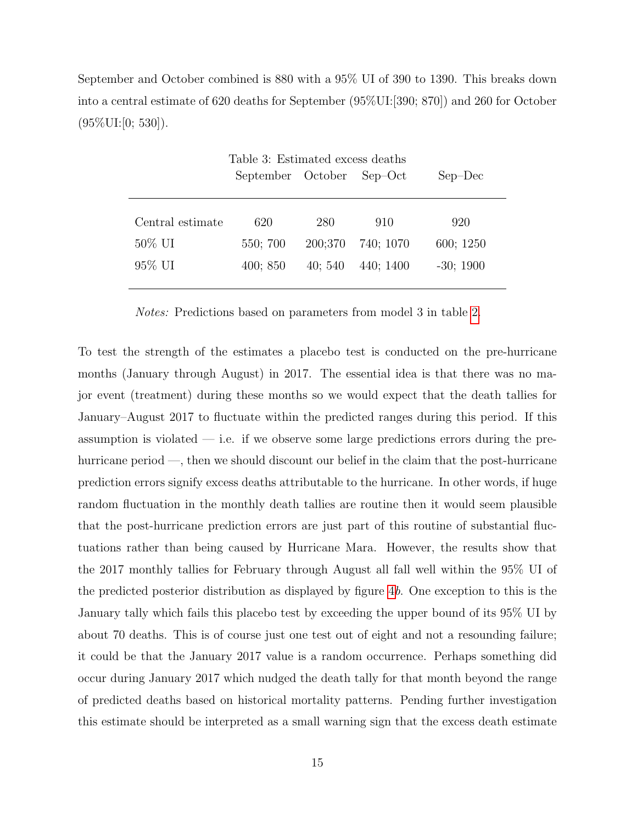September and October combined is 880 with a 95% UI of 390 to 1390. This breaks down into a central estimate of 620 deaths for September (95%UI:[390; 870]) and 260 for October  $(95\%$ UI:[0; 530]).

<span id="page-14-0"></span>

| Table 3: Estimated excess deaths |                   |         |           |            |
|----------------------------------|-------------------|---------|-----------|------------|
|                                  | September October |         | $Sep-Oct$ | $Sep-Dec$  |
|                                  |                   |         |           |            |
|                                  |                   |         |           |            |
| Central estimate                 | 620               | 280     | 910       | 920        |
| $50\%$ UI                        | 550; 700          | 200;370 | 740; 1070 | 600; 1250  |
| $95\%$ UI                        | 400; 850          | 40;540  | 440; 1400 | $-30;1900$ |
|                                  |                   |         |           |            |

Notes: Predictions based on parameters from model 3 in table [2.](#page-12-0)

To test the strength of the estimates a placebo test is conducted on the pre-hurricane months (January through August) in 2017. The essential idea is that there was no major event (treatment) during these months so we would expect that the death tallies for January–August 2017 to fluctuate within the predicted ranges during this period. If this assumption is violated  $-$  i.e. if we observe some large predictions errors during the prehurricane period —, then we should discount our belief in the claim that the post-hurricane prediction errors signify excess deaths attributable to the hurricane. In other words, if huge random fluctuation in the monthly death tallies are routine then it would seem plausible that the post-hurricane prediction errors are just part of this routine of substantial fluctuations rather than being caused by Hurricane Mara. However, the results show that the 2017 monthly tallies for February through August all fall well within the 95% UI of the predicted posterior distribution as displayed by figure [4](#page-11-0)b. One exception to this is the January tally which fails this placebo test by exceeding the upper bound of its 95% UI by about 70 deaths. This is of course just one test out of eight and not a resounding failure; it could be that the January 2017 value is a random occurrence. Perhaps something did occur during January 2017 which nudged the death tally for that month beyond the range of predicted deaths based on historical mortality patterns. Pending further investigation this estimate should be interpreted as a small warning sign that the excess death estimate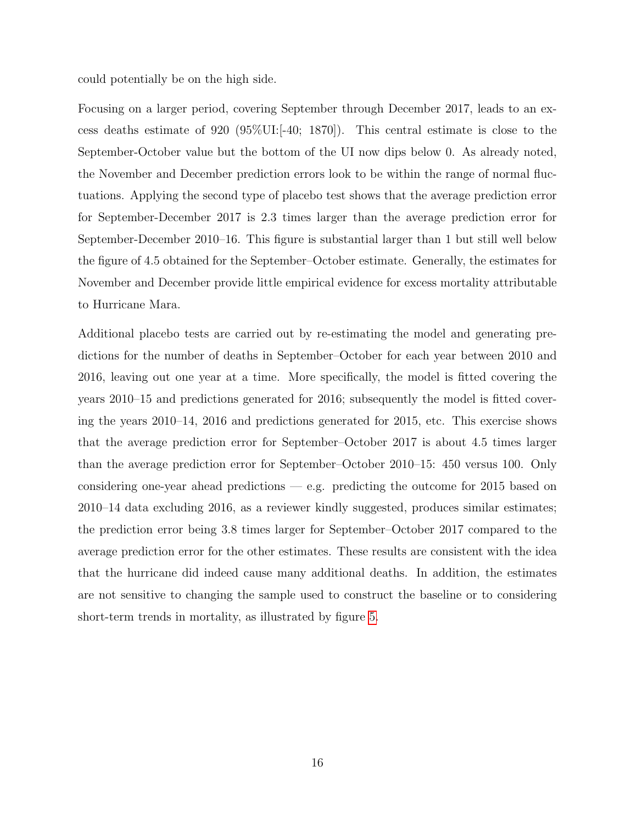could potentially be on the high side.

Focusing on a larger period, covering September through December 2017, leads to an excess deaths estimate of 920 (95%UI:[-40; 1870]). This central estimate is close to the September-October value but the bottom of the UI now dips below 0. As already noted, the November and December prediction errors look to be within the range of normal fluctuations. Applying the second type of placebo test shows that the average prediction error for September-December 2017 is 2.3 times larger than the average prediction error for September-December 2010–16. This figure is substantial larger than 1 but still well below the figure of 4.5 obtained for the September–October estimate. Generally, the estimates for November and December provide little empirical evidence for excess mortality attributable to Hurricane Mara.

Additional placebo tests are carried out by re-estimating the model and generating predictions for the number of deaths in September–October for each year between 2010 and 2016, leaving out one year at a time. More specifically, the model is fitted covering the years 2010–15 and predictions generated for 2016; subsequently the model is fitted covering the years 2010–14, 2016 and predictions generated for 2015, etc. This exercise shows that the average prediction error for September–October 2017 is about 4.5 times larger than the average prediction error for September–October 2010–15: 450 versus 100. Only considering one-year ahead predictions — e.g. predicting the outcome for 2015 based on 2010–14 data excluding 2016, as a reviewer kindly suggested, produces similar estimates; the prediction error being 3.8 times larger for September–October 2017 compared to the average prediction error for the other estimates. These results are consistent with the idea that the hurricane did indeed cause many additional deaths. In addition, the estimates are not sensitive to changing the sample used to construct the baseline or to considering short-term trends in mortality, as illustrated by figure [5.](#page-16-0)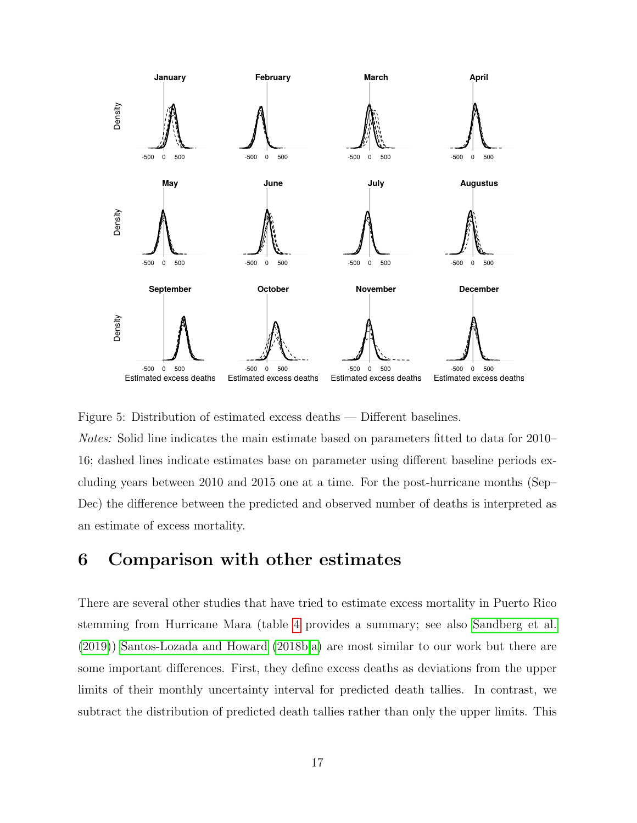

<span id="page-16-0"></span>

Notes: Solid line indicates the main estimate based on parameters fitted to data for 2010– 16; dashed lines indicate estimates base on parameter using different baseline periods excluding years between 2010 and 2015 one at a time. For the post-hurricane months (Sep– Dec) the difference between the predicted and observed number of deaths is interpreted as an estimate of excess mortality.

# 6 Comparison with other estimates

There are several other studies that have tried to estimate excess mortality in Puerto Rico stemming from Hurricane Mara (table [4](#page-17-0) provides a summary; see also [Sandberg et al.](#page-21-10) [\(2019\)](#page-21-10)) [Santos-Lozada and Howard](#page-22-0) [\(2018b](#page-22-0)[,a\)](#page-22-1) are most similar to our work but there are some important differences. First, they define excess deaths as deviations from the upper limits of their monthly uncertainty interval for predicted death tallies. In contrast, we subtract the distribution of predicted death tallies rather than only the upper limits. This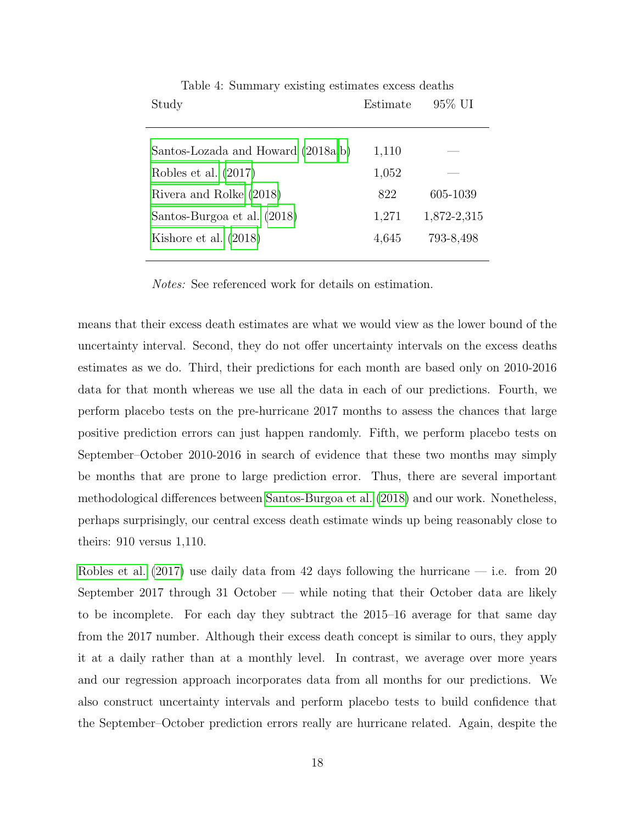| Study                              | Estimate | 95% UI      |
|------------------------------------|----------|-------------|
|                                    |          |             |
| Santos-Lozada and Howard (2018a,b) | 1,110    |             |
| Robles et al. $(2017)$             | 1,052    |             |
| Rivera and Rolke (2018)            | 822      | 605-1039    |
| Santos-Burgoa et al. (2018)        | 1,271    | 1,872-2,315 |
| Kishore et al. $(2018)$            | 4,645    | 793-8,498   |
|                                    |          |             |

<span id="page-17-0"></span>Table 4: Summary existing estimates excess deaths

Notes: See referenced work for details on estimation.

means that their excess death estimates are what we would view as the lower bound of the uncertainty interval. Second, they do not offer uncertainty intervals on the excess deaths estimates as we do. Third, their predictions for each month are based only on 2010-2016 data for that month whereas we use all the data in each of our predictions. Fourth, we perform placebo tests on the pre-hurricane 2017 months to assess the chances that large positive prediction errors can just happen randomly. Fifth, we perform placebo tests on September–October 2010-2016 in search of evidence that these two months may simply be months that are prone to large prediction error. Thus, there are several important methodological differences between [Santos-Burgoa et al.](#page-22-2) [\(2018\)](#page-22-2) and our work. Nonetheless, perhaps surprisingly, our central excess death estimate winds up being reasonably close to theirs: 910 versus 1,110.

[Robles et al.](#page-21-0)  $(2017)$  use daily data from 42 days following the hurricane — i.e. from 20 September 2017 through 31 October — while noting that their October data are likely to be incomplete. For each day they subtract the 2015–16 average for that same day from the 2017 number. Although their excess death concept is similar to ours, they apply it at a daily rather than at a monthly level. In contrast, we average over more years and our regression approach incorporates data from all months for our predictions. We also construct uncertainty intervals and perform placebo tests to build confidence that the September–October prediction errors really are hurricane related. Again, despite the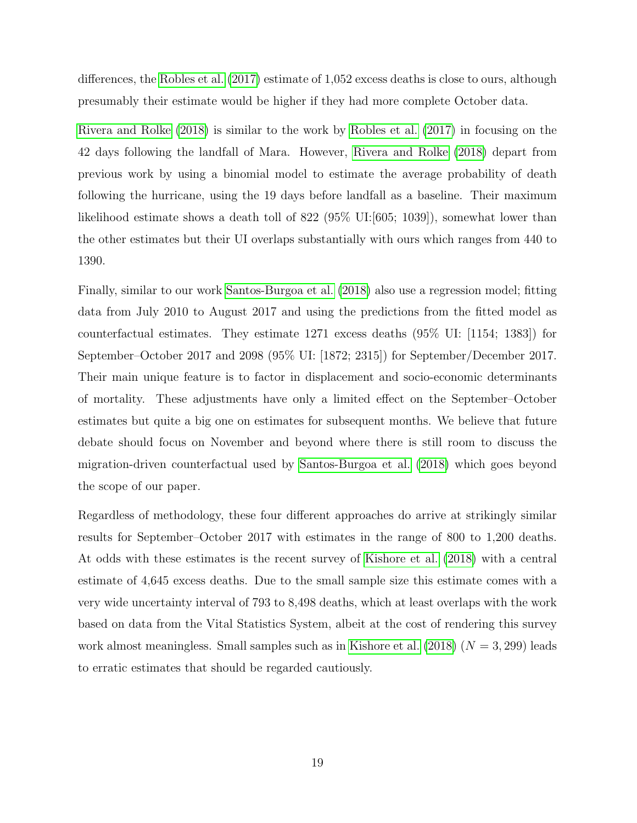differences, the [Robles et al.](#page-21-0) [\(2017\)](#page-21-0) estimate of 1,052 excess deaths is close to ours, although presumably their estimate would be higher if they had more complete October data.

[Rivera and Rolke](#page-21-1) [\(2018\)](#page-21-1) is similar to the work by [Robles et al.](#page-21-0) [\(2017\)](#page-21-0) in focusing on the 42 days following the landfall of Mara. However, [Rivera and Rolke](#page-21-1) [\(2018\)](#page-21-1) depart from previous work by using a binomial model to estimate the average probability of death following the hurricane, using the 19 days before landfall as a baseline. Their maximum likelihood estimate shows a death toll of  $822$  ( $95\%$  UI:[ $605$ ; 1039]), somewhat lower than the other estimates but their UI overlaps substantially with ours which ranges from 440 to 1390.

Finally, similar to our work [Santos-Burgoa et al.](#page-22-2) [\(2018\)](#page-22-2) also use a regression model; fitting data from July 2010 to August 2017 and using the predictions from the fitted model as counterfactual estimates. They estimate 1271 excess deaths (95% UI: [1154; 1383]) for September–October 2017 and 2098 (95% UI: [1872; 2315]) for September/December 2017. Their main unique feature is to factor in displacement and socio-economic determinants of mortality. These adjustments have only a limited effect on the September–October estimates but quite a big one on estimates for subsequent months. We believe that future debate should focus on November and beyond where there is still room to discuss the migration-driven counterfactual used by [Santos-Burgoa et al.](#page-22-2) [\(2018\)](#page-22-2) which goes beyond the scope of our paper.

Regardless of methodology, these four different approaches do arrive at strikingly similar results for September–October 2017 with estimates in the range of 800 to 1,200 deaths. At odds with these estimates is the recent survey of [Kishore et al.](#page-21-2) [\(2018\)](#page-21-2) with a central estimate of 4,645 excess deaths. Due to the small sample size this estimate comes with a very wide uncertainty interval of 793 to 8,498 deaths, which at least overlaps with the work based on data from the Vital Statistics System, albeit at the cost of rendering this survey work almost meaningless. Small samples such as in [Kishore et al.](#page-21-2)  $(2018)$   $(N = 3, 299)$  leads to erratic estimates that should be regarded cautiously.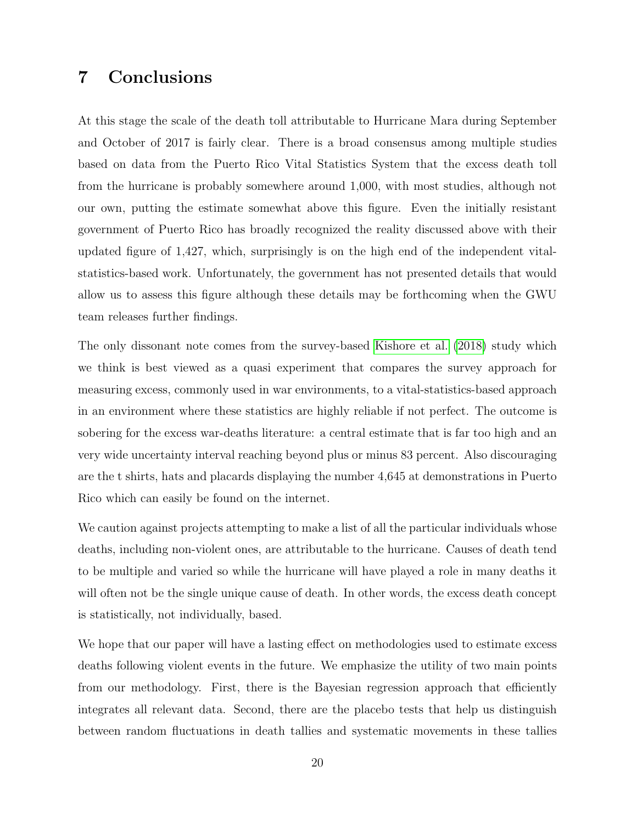# 7 Conclusions

At this stage the scale of the death toll attributable to Hurricane Mara during September and October of 2017 is fairly clear. There is a broad consensus among multiple studies based on data from the Puerto Rico Vital Statistics System that the excess death toll from the hurricane is probably somewhere around 1,000, with most studies, although not our own, putting the estimate somewhat above this figure. Even the initially resistant government of Puerto Rico has broadly recognized the reality discussed above with their updated figure of 1,427, which, surprisingly is on the high end of the independent vitalstatistics-based work. Unfortunately, the government has not presented details that would allow us to assess this figure although these details may be forthcoming when the GWU team releases further findings.

The only dissonant note comes from the survey-based [Kishore et al.](#page-21-2) [\(2018\)](#page-21-2) study which we think is best viewed as a quasi experiment that compares the survey approach for measuring excess, commonly used in war environments, to a vital-statistics-based approach in an environment where these statistics are highly reliable if not perfect. The outcome is sobering for the excess war-deaths literature: a central estimate that is far too high and an very wide uncertainty interval reaching beyond plus or minus 83 percent. Also discouraging are the t shirts, hats and placards displaying the number 4,645 at demonstrations in Puerto Rico which can easily be found on the internet.

We caution against projects attempting to make a list of all the particular individuals whose deaths, including non-violent ones, are attributable to the hurricane. Causes of death tend to be multiple and varied so while the hurricane will have played a role in many deaths it will often not be the single unique cause of death. In other words, the excess death concept is statistically, not individually, based.

We hope that our paper will have a lasting effect on methodologies used to estimate excess deaths following violent events in the future. We emphasize the utility of two main points from our methodology. First, there is the Bayesian regression approach that efficiently integrates all relevant data. Second, there are the placebo tests that help us distinguish between random fluctuations in death tallies and systematic movements in these tallies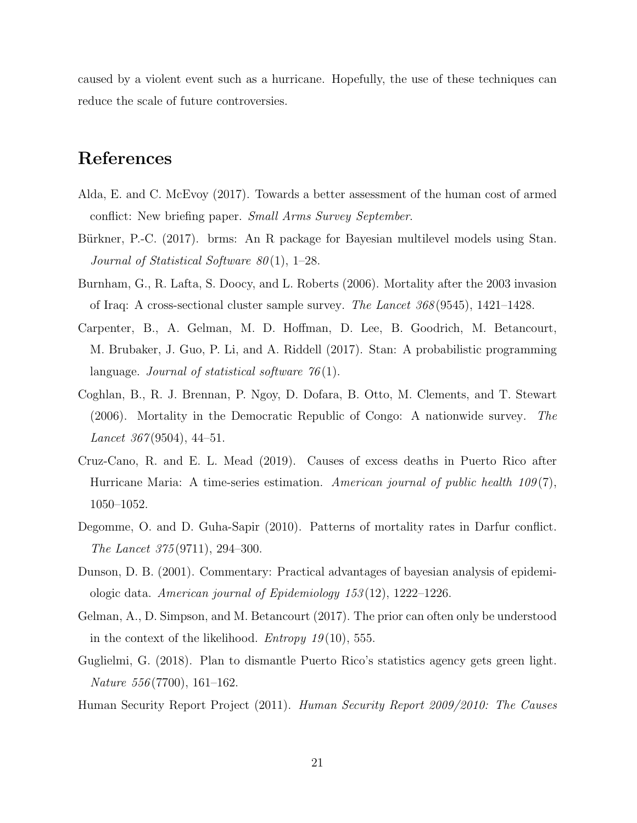caused by a violent event such as a hurricane. Hopefully, the use of these techniques can reduce the scale of future controversies.

# References

- <span id="page-20-4"></span>Alda, E. and C. McEvoy (2017). Towards a better assessment of the human cost of armed conflict: New briefing paper. Small Arms Survey September.
- <span id="page-20-9"></span>Bürkner, P.-C. (2017). brms: An R package for Bayesian multilevel models using Stan. Journal of Statistical Software  $80(1)$ , 1–28.
- <span id="page-20-1"></span>Burnham, G., R. Lafta, S. Doocy, and L. Roberts (2006). Mortality after the 2003 invasion of Iraq: A cross-sectional cluster sample survey. The Lancet 368 (9545), 1421–1428.
- <span id="page-20-10"></span>Carpenter, B., A. Gelman, M. D. Hoffman, D. Lee, B. Goodrich, M. Betancourt, M. Brubaker, J. Guo, P. Li, and A. Riddell (2017). Stan: A probabilistic programming language. Journal of statistical software  $76(1)$ .
- <span id="page-20-2"></span>Coghlan, B., R. J. Brennan, P. Ngoy, D. Dofara, B. Otto, M. Clements, and T. Stewart (2006). Mortality in the Democratic Republic of Congo: A nationwide survey. The Lancet  $367(9504)$ , 44-51.
- <span id="page-20-0"></span>Cruz-Cano, R. and E. L. Mead (2019). Causes of excess deaths in Puerto Rico after Hurricane Maria: A time-series estimation. American journal of public health  $109(7)$ , 1050–1052.
- <span id="page-20-3"></span>Degomme, O. and D. Guha-Sapir (2010). Patterns of mortality rates in Darfur conflict. The Lancet 375 (9711), 294–300.
- <span id="page-20-7"></span>Dunson, D. B. (2001). Commentary: Practical advantages of bayesian analysis of epidemiologic data. American journal of Epidemiology 153 (12), 1222–1226.
- <span id="page-20-8"></span>Gelman, A., D. Simpson, and M. Betancourt (2017). The prior can often only be understood in the context of the likelihood. *Entropy* 19(10), 555.
- <span id="page-20-6"></span>Guglielmi, G. (2018). Plan to dismantle Puerto Rico's statistics agency gets green light. Nature 556 (7700), 161–162.
- <span id="page-20-5"></span>Human Security Report Project (2011). Human Security Report 2009/2010: The Causes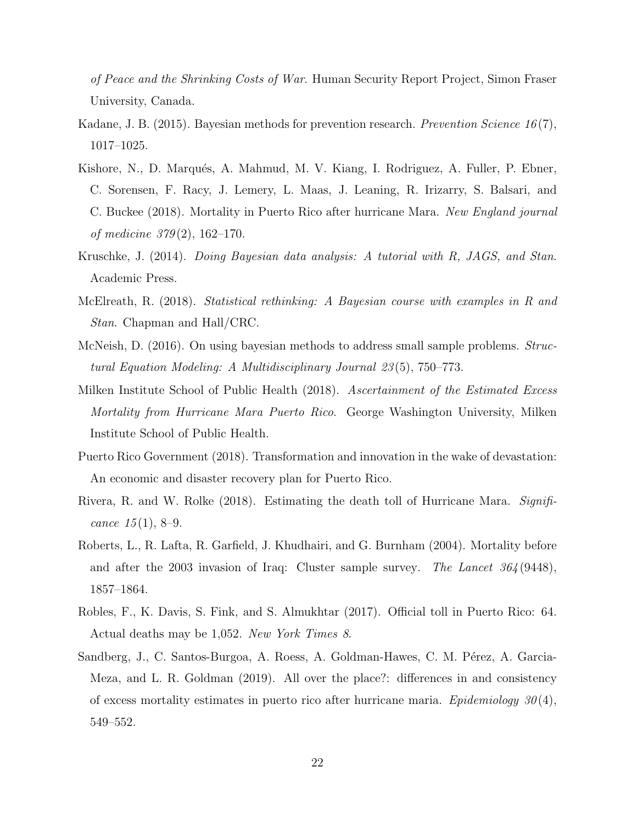of Peace and the Shrinking Costs of War. Human Security Report Project, Simon Fraser University, Canada.

- <span id="page-21-7"></span>Kadane, J. B. (2015). Bayesian methods for prevention research. Prevention Science 16(7), 1017–1025.
- <span id="page-21-2"></span>Kishore, N., D. Marqués, A. Mahmud, M. V. Kiang, I. Rodriguez, A. Fuller, P. Ebner, C. Sorensen, F. Racy, J. Lemery, L. Maas, J. Leaning, R. Irizarry, S. Balsari, and C. Buckee (2018). Mortality in Puerto Rico after hurricane Mara. New England journal of medicine 379 (2), 162–170.
- <span id="page-21-6"></span>Kruschke, J. (2014). Doing Bayesian data analysis: A tutorial with R, JAGS, and Stan. Academic Press.
- <span id="page-21-9"></span>McElreath, R. (2018). Statistical rethinking: A Bayesian course with examples in R and Stan. Chapman and Hall/CRC.
- <span id="page-21-8"></span>McNeish, D. (2016). On using bayesian methods to address small sample problems. *Struc*tural Equation Modeling: A Multidisciplinary Journal 23 (5), 750–773.
- <span id="page-21-4"></span>Milken Institute School of Public Health (2018). Ascertainment of the Estimated Excess Mortality from Hurricane Mara Puerto Rico. George Washington University, Milken Institute School of Public Health.
- <span id="page-21-3"></span>Puerto Rico Government (2018). Transformation and innovation in the wake of devastation: An economic and disaster recovery plan for Puerto Rico.
- <span id="page-21-1"></span>Rivera, R. and W. Rolke (2018). Estimating the death toll of Hurricane Mara. Significance  $15(1)$ , 8–9.
- <span id="page-21-5"></span>Roberts, L., R. Lafta, R. Garfield, J. Khudhairi, and G. Burnham (2004). Mortality before and after the 2003 invasion of Iraq: Cluster sample survey. The Lancet  $364(9448)$ , 1857–1864.
- <span id="page-21-0"></span>Robles, F., K. Davis, S. Fink, and S. Almukhtar (2017). Official toll in Puerto Rico: 64. Actual deaths may be 1,052. New York Times 8.
- <span id="page-21-10"></span>Sandberg, J., C. Santos-Burgoa, A. Roess, A. Goldman-Hawes, C. M. Pérez, A. Garcia-Meza, and L. R. Goldman (2019). All over the place?: differences in and consistency of excess mortality estimates in puerto rico after hurricane maria. Epidemiology  $30(4)$ , 549–552.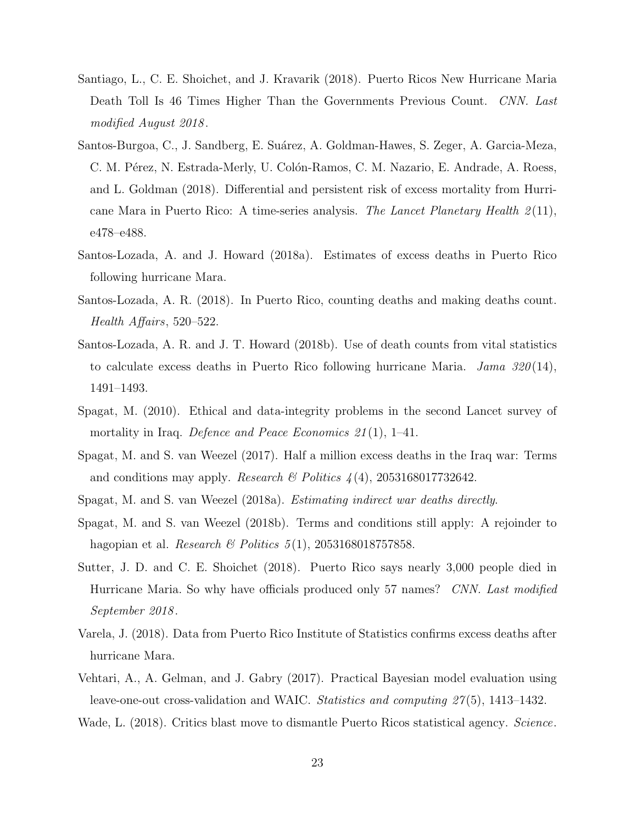- <span id="page-22-8"></span>Santiago, L., C. E. Shoichet, and J. Kravarik (2018). Puerto Ricos New Hurricane Maria Death Toll Is 46 Times Higher Than the Governments Previous Count. CNN. Last modified August 2018 .
- <span id="page-22-2"></span>Santos-Burgoa, C., J. Sandberg, E. Suárez, A. Goldman-Hawes, S. Zeger, A. Garcia-Meza, C. M. Pérez, N. Estrada-Merly, U. Colón-Ramos, C. M. Nazario, E. Andrade, A. Roess, and L. Goldman (2018). Differential and persistent risk of excess mortality from Hurricane Mara in Puerto Rico: A time-series analysis. The Lancet Planetary Health  $2(11)$ , e478–e488.
- <span id="page-22-1"></span>Santos-Lozada, A. and J. Howard (2018a). Estimates of excess deaths in Puerto Rico following hurricane Mara.
- <span id="page-22-10"></span>Santos-Lozada, A. R. (2018). In Puerto Rico, counting deaths and making deaths count. Health Affairs, 520–522.
- <span id="page-22-0"></span>Santos-Lozada, A. R. and J. T. Howard (2018b). Use of death counts from vital statistics to calculate excess deaths in Puerto Rico following hurricane Maria. Jama  $320(14)$ , 1491–1493.
- <span id="page-22-6"></span>Spagat, M. (2010). Ethical and data-integrity problems in the second Lancet survey of mortality in Iraq. Defence and Peace Economics  $21(1)$ , 1–41.
- <span id="page-22-3"></span>Spagat, M. and S. van Weezel (2017). Half a million excess deaths in the Iraq war: Terms and conditions may apply. *Research*  $\mathcal{B}$  Politics 4(4), 2053168017732642.
- <span id="page-22-5"></span><span id="page-22-4"></span>Spagat, M. and S. van Weezel (2018a). Estimating indirect war deaths directly.
- Spagat, M. and S. van Weezel (2018b). Terms and conditions still apply: A rejoinder to hagopian et al. *Research & Politics*  $5(1)$ , 2053168018757858.
- <span id="page-22-7"></span>Sutter, J. D. and C. E. Shoichet (2018). Puerto Rico says nearly 3,000 people died in Hurricane Maria. So why have officials produced only 57 names? CNN. Last modified September 2018 .
- <span id="page-22-9"></span>Varela, J. (2018). Data from Puerto Rico Institute of Statistics confirms excess deaths after hurricane Mara.
- <span id="page-22-12"></span>Vehtari, A., A. Gelman, and J. Gabry (2017). Practical Bayesian model evaluation using leave-one-out cross-validation and WAIC. Statistics and computing 27 (5), 1413–1432.

<span id="page-22-11"></span>Wade, L. (2018). Critics blast move to dismantle Puerto Ricos statistical agency. Science.